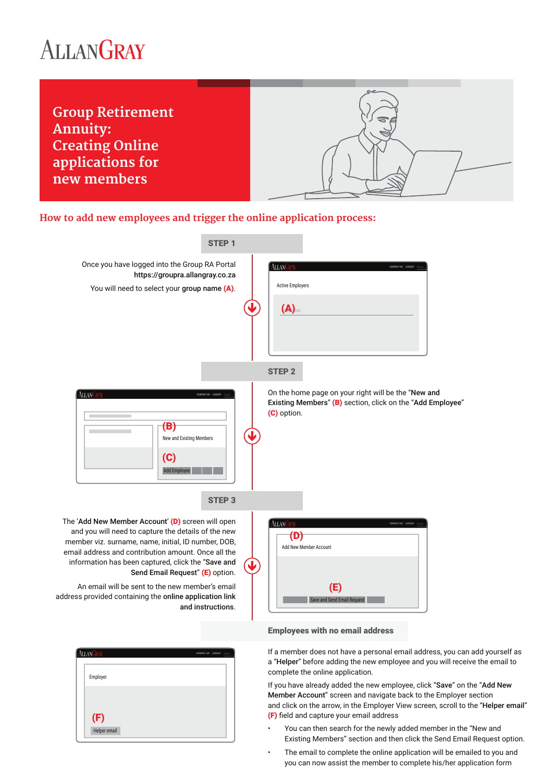# ALLANGRAY



## **How to add new employees and trigger the online application process:**



If a member does not have a personal email address, you can add yourself as a "Helper" before adding the new employee and you will receive the email to complete the online application.

If you have already added the new employee, click "Save" on the "Add New Member Account" screen and navigate back to the Employer section and click on the arrow, in the Employer View screen, scroll to the "Helper email" (F) field and capture your email address

- You can then search for the newly added member in the "New and Existing Members" section and then click the Send Email Request option.
- The email to complete the online application will be emailed to you and you can now assist the member to complete his/her application form

| ALLANGRAY | <b>CONTACT US LOGOUT</b> Search |
|-----------|---------------------------------|
| Employer  |                                 |
| (F)       |                                 |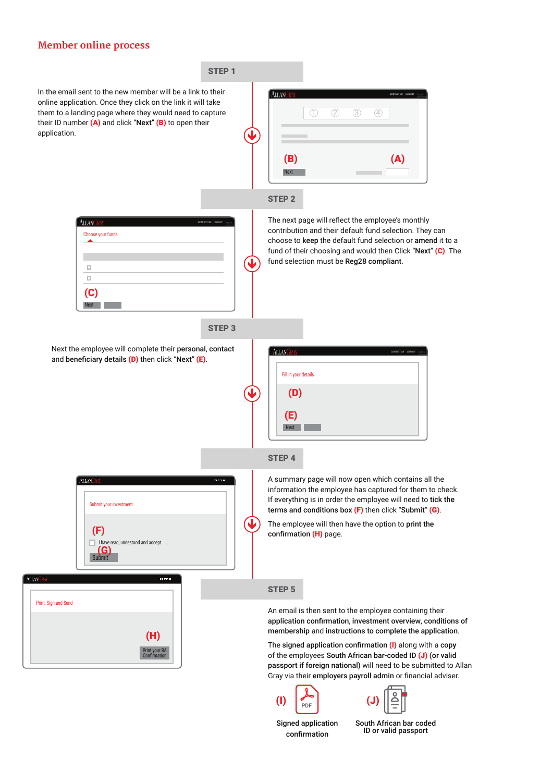### **Member online process**



Signed application confirmation

South African bar coded ID or valid passport